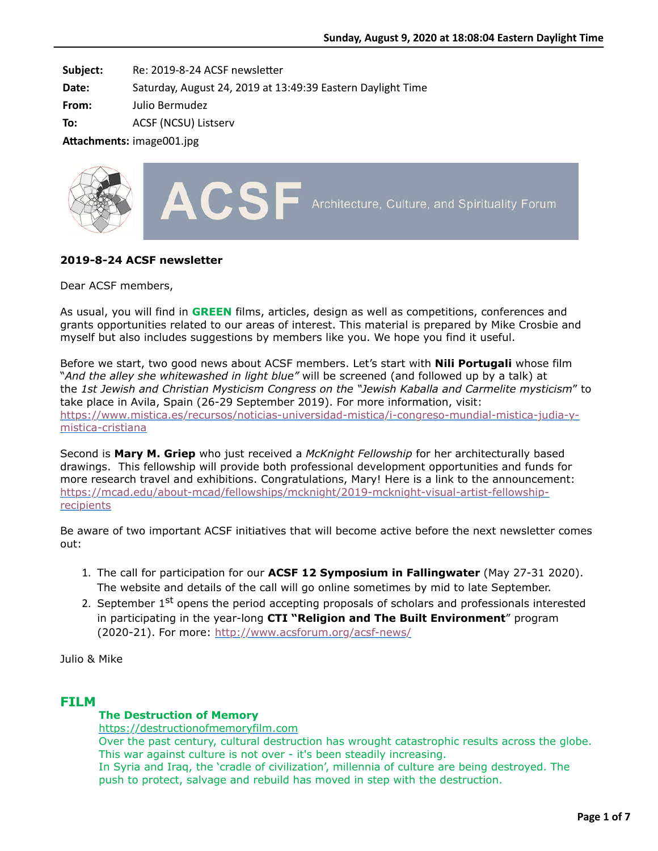**Subject:** Re: 2019-8-24 ACSF newsletter

**Date:** Saturday, August 24, 2019 at 13:49:39 Eastern Daylight Time

**From:** Julio Bermudez

**To:** ACSF (NCSU) Listserv

Attachments: image001.jpg



# **2019-8-24 ACSF newsletter**

Dear ACSF members,

As usual, you will find in **GREEN** films, articles, design as well as competitions, conferences and grants opportunities related to our areas of interest. This material is prepared by Mike Crosbie and myself but also includes suggestions by members like you. We hope you find it useful.

Before we start, two good news about ACSF members. Let's start with **Nili Portugali** whose film "*And the alley she whitewashed in light blue"* will be screened (and followed up by a talk) at the *1st Jewish and Christian Mysticism Congress on the "Jewish Kaballa and Carmelite mysticism*" to take place in Avila, Spain (26-29 September 2019). For more information, visit: [https://www.mistica.es/recursos/noticias-universidad-mistica/i-congreso-mundial-mistica-judia-y](https://www.mistica.es/recursos/noticias-universidad-mistica/i-congreso-mundial-mistica-judia-y-mistica-cristiana)mistica-cristiana

Second is **Mary M. Griep** who just received a *McKnight Fellowship* for her architecturally based drawings. This fellowship will provide both professional development opportunities and funds for more research travel and exhibitions. Congratulations, Mary! Here is a link to the announcement: [https://mcad.edu/about-mcad/fellowships/mcknight/2019-mcknight-visual-artist-fellowship](https://mcad.edu/about-mcad/fellowships/mcknight/2019-mcknight-visual-artist-fellowship-recipients)recipients

Be aware of two important ACSF initiatives that will become active before the next newsletter comes out:

- 1. The call for participation for our **ACSF 12 Symposium in Fallingwater** (May 27-31 2020). The website and details of the call will go online sometimes by mid to late September.
- 2. September  $1<sup>st</sup>$  opens the period accepting proposals of scholars and professionals interested in participating in the year-long **CTI "Religion and The Built Environment**" program (2020-21). For more: <http://www.acsforum.org/acsf-news/>

Julio & Mike

# **FILM**

## **The Destruction of Memory**

[https://destructionofmemoryfilm.com](https://destructionofmemoryfilm.com/)

Over the past century, cultural destruction has wrought catastrophic results across the globe. This war against culture is not over - it's been steadily increasing.

In Syria and Iraq, the 'cradle of civilization', millennia of culture are being destroyed. The push to protect, salvage and rebuild has moved in step with the destruction.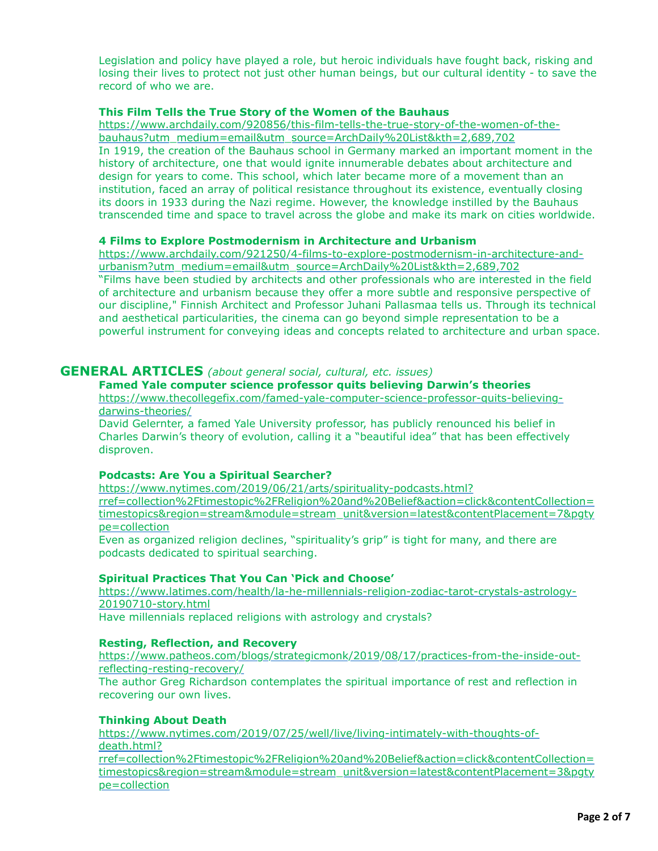Legislation and policy have played a role, but heroic individuals have fought back, risking and losing their lives to protect not just other human beings, but our cultural identity - to save the record of who we are.

## **This Film Tells the True Story of the Women of the Bauhaus**

[https://www.archdaily.com/920856/this-film-tells-the-true-story-of-the-women-of-the](https://www.archdaily.com/920856/this-film-tells-the-true-story-of-the-women-of-the-bauhaus?utm_medium=email&utm_source=ArchDaily%20List&kth=2,689,702)bauhaus?utm\_medium=email&utm\_source=ArchDaily%20List&kth=2,689,702 In 1919, the creation of the Bauhaus school in Germany marked an important moment in the history of architecture, one that would ignite innumerable debates about architecture and design for years to come. This school, which later became more of a movement than an institution, faced an array of political resistance throughout its existence, eventually closing its doors in 1933 during the Nazi regime. However, the knowledge instilled by the Bauhaus transcended time and space to travel across the globe and make its mark on cities worldwide.

### **4 Films to Explore Postmodernism in Architecture and Urbanism**

[https://www.archdaily.com/921250/4-films-to-explore-postmodernism-in-architecture-and](https://www.archdaily.com/921250/4-films-to-explore-postmodernism-in-architecture-and-urbanism?utm_medium=email&utm_source=ArchDaily%20List&kth=2,689,702)urbanism?utm\_medium=email&utm\_source=ArchDaily%20List&kth=2,689,702 "Films have been studied by architects and other professionals who are interested in the field of architecture and urbanism because they offer a more subtle and responsive perspective of our discipline," Finnish Architect and Professor Juhani Pallasmaa tells us. Through its technical and aesthetical particularities, the cinema can go beyond simple representation to be a powerful instrument for conveying ideas and concepts related to architecture and urban space.

# **GENERAL ARTICLES** *(about general social, cultural, etc. issues)*

# **Famed Yale computer science professor quits believing Darwin's theories**

[https://www.thecollegefix.com/famed-yale-computer-science-professor-quits-believing](https://www.thecollegefix.com/famed-yale-computer-science-professor-quits-believing-darwins-theories/)darwins-theories/

David Gelernter, a famed Yale University professor, has publicly renounced his belief in Charles Darwin's theory of evolution, calling it a "beautiful idea" that has been effectively disproven.

## **Podcasts: Are You a Spiritual Searcher?**

https://www.nytimes.com/2019/06/21/arts/spirituality-podcasts.html?

[rref=collection%2Ftimestopic%2FReligion%20and%20Belief&action=click&contentCollection=](https://www.nytimes.com/2019/06/21/arts/spirituality-podcasts.html?rref=collection%2Ftimestopic%2FReligion%20and%20Belief&action=click&contentCollection=timestopics®ion=stream&module=stream_unit&version=latest&contentPlacement=7&pgtype=collection) timestopics&region=stream&module=stream\_unit&version=latest&contentPlacement=7&pgty pe=collection

Even as organized religion declines, "spirituality's grip" is tight for many, and there are podcasts dedicated to spiritual searching.

## **Spiritual Practices That You Can 'Pick and Choose'**

[https://www.latimes.com/health/la-he-millennials-religion-zodiac-tarot-crystals-astrology-](https://www.latimes.com/health/la-he-millennials-religion-zodiac-tarot-crystals-astrology-20190710-story.html)20190710-story.html

Have millennials replaced religions with astrology and crystals?

## **Resting, Reflection, and Recovery**

[https://www.patheos.com/blogs/strategicmonk/2019/08/17/practices-from-the-inside-out](https://www.patheos.com/blogs/strategicmonk/2019/08/17/practices-from-the-inside-out-reflecting-resting-recovery/)reflecting-resting-recovery/ The author Greg Richardson contemplates the spiritual importance of rest and reflection in

recovering our own lives.

## **Thinking About Death**

https://www.nytimes.com/2019/07/25/well/live/living-intimately-with-thoughts-ofdeath.html? [rref=collection%2Ftimestopic%2FReligion%20and%20Belief&action=click&contentCollection=](https://www.nytimes.com/2019/07/25/well/live/living-intimately-with-thoughts-of-death.html?rref=collection%2Ftimestopic%2FReligion%20and%20Belief&action=click&contentCollection=timestopics®ion=stream&module=stream_unit&version=latest&contentPlacement=3&pgtype=collection) timestopics&region=stream&module=stream\_unit&version=latest&contentPlacement=3&pgty pe=collection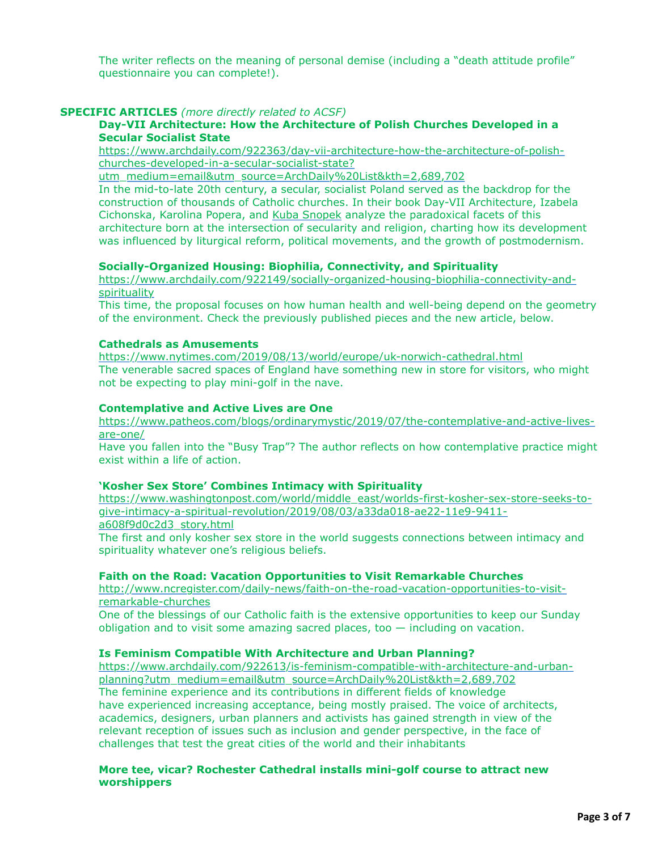The writer reflects on the meaning of personal demise (including a "death attitude profile" questionnaire you can complete!).

# **SPECIFIC ARTICLES** *(more directly related to ACSF)*

## **Day-VII Architecture: How the Architecture of Polish Churches Developed in a Secular Socialist State**

[https://www.archdaily.com/922363/day-vii-architecture-how-the-architecture-of-polish](https://www.archdaily.com/922363/day-vii-architecture-how-the-architecture-of-polish-churches-developed-in-a-secular-socialist-state?utm_medium=email&utm_source=ArchDaily%20List&kth=2,689,702)churches-developed-in-a-secular-socialist-state?

utm\_medium=email&utm\_source=ArchDaily%20List&kth=2,689,702

In the mid-to-late 20th century, a secular, socialist Poland served as the backdrop for the construction of thousands of Catholic churches. In their book Day-VII Architecture, Izabela Cichonska, Karolina Popera, and [Kuba Snopek](https://www.archdaily.com/tag/kuba-snopek) analyze the paradoxical facets of this architecture born at the intersection of secularity and religion, charting how its development was influenced by liturgical reform, political movements, and the growth of postmodernism.

### **Socially-Organized Housing: Biophilia, Connectivity, and Spirituality**

[https://www.archdaily.com/922149/socially-organized-housing-biophilia-connectivity-and](https://www.archdaily.com/922149/socially-organized-housing-biophilia-connectivity-and-spirituality)spirituality

This time, the proposal focuses on how human health and well-being depend on the geometry of the environment. Check the previously published pieces and the new article, below.

### **Cathedrals as Amusements**

<https://www.nytimes.com/2019/08/13/world/europe/uk-norwich-cathedral.html> The venerable sacred spaces of England have something new in store for visitors, who might not be expecting to play mini-golf in the nave.

### **Contemplative and Active Lives are One**

[https://www.patheos.com/blogs/ordinarymystic/2019/07/the-contemplative-and-active-lives](https://www.patheos.com/blogs/ordinarymystic/2019/07/the-contemplative-and-active-lives-are-one/)are-one/

Have you fallen into the "Busy Trap"? The author reflects on how contemplative practice might exist within a life of action.

### **'Kosher Sex Store' Combines Intimacy with Spirituality**

[https://www.washingtonpost.com/world/middle\\_east/worlds-first-kosher-sex-store-seeks-to](https://www.washingtonpost.com/world/middle_east/worlds-first-kosher-sex-store-seeks-to-give-intimacy-a-spiritual-revolution/2019/08/03/a33da018-ae22-11e9-9411-a608f9d0c2d3_story.html)give-intimacy-a-spiritual-revolution/2019/08/03/a33da018-ae22-11e9-9411 a608f9d0c2d3\_story.html

The first and only kosher sex store in the world suggests connections between intimacy and spirituality whatever one's religious beliefs.

## **Faith on the Road: Vacation Opportunities to Visit Remarkable Churches**

[http://www.ncregister.com/daily-news/faith-on-the-road-vacation-opportunities-to-visit](http://www.ncregister.com/daily-news/faith-on-the-road-vacation-opportunities-to-visit-remarkable-churches)remarkable-churches

One of the blessings of our Catholic faith is the extensive opportunities to keep our Sunday obligation and to visit some amazing sacred places, too  $-$  including on vacation.

### **Is Feminism Compatible With Architecture and Urban Planning?**

[https://www.archdaily.com/922613/is-feminism-compatible-with-architecture-and-urban](https://www.archdaily.com/922613/is-feminism-compatible-with-architecture-and-urban-planning?utm_medium=email&utm_source=ArchDaily%20List&kth=2,689,702)planning?utm\_medium=email&utm\_source=ArchDaily%20List&kth=2,689,702 The feminine experience and its contributions in different fields of knowledge have experienced increasing acceptance, being mostly praised. The voice of architects, academics, designers, urban planners and activists has gained strength in view of the relevant reception of issues such as inclusion and gender perspective, in the face of challenges that test the great cities of the world and their inhabitants

### **More tee, vicar? Rochester Cathedral installs mini-golf course to attract new worshippers**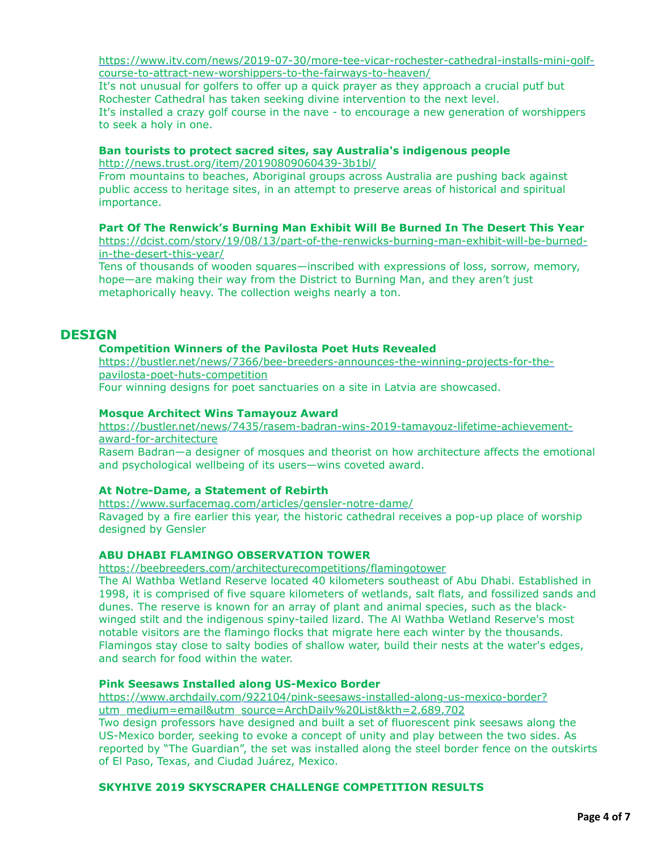[https://www.itv.com/news/2019-07-30/more-tee-vicar-rochester-cathedral-installs-mini-golf](https://www.itv.com/news/2019-07-30/more-tee-vicar-rochester-cathedral-installs-mini-golf-course-to-attract-new-worshippers-to-the-fairways-to-heaven/)course-to-attract-new-worshippers-to-the-fairways-to-heaven/

It's not unusual for golfers to offer up a quick prayer as they approach a crucial putf but Rochester Cathedral has taken seeking divine intervention to the next level. It's installed a crazy golf course in the nave - to encourage a new generation of worshippers

to seek a holy in one.

### **Ban tourists to protect sacred sites, say Australia's indigenous people**

<http://news.trust.org/item/20190809060439-3b1bl/>

From mountains to beaches, Aboriginal groups across Australia are pushing back against public access to heritage sites, in an attempt to preserve areas of historical and spiritual importance.

## **Part Of The Renwick's Burning Man Exhibit Will Be Burned In The Desert This Year**

[https://dcist.com/story/19/08/13/part-of-the-renwicks-burning-man-exhibit-will-be-burned](https://dcist.com/story/19/08/13/part-of-the-renwicks-burning-man-exhibit-will-be-burned-in-the-desert-this-year/)in-the-desert-this-year/

Tens of thousands of wooden squares—inscribed with expressions of loss, sorrow, memory, hope—are making their way from the District to Burning Man, and they aren't just metaphorically heavy. The collection weighs nearly a ton.

# **DESIGN**

## **Competition Winners of the Pavilosta Poet Huts Revealed**

[https://bustler.net/news/7366/bee-breeders-announces-the-winning-projects-for-the](https://bustler.net/news/7366/bee-breeders-announces-the-winning-projects-for-the-pavilosta-poet-huts-competition)pavilosta-poet-huts-competition Four winning designs for poet sanctuaries on a site in Latvia are showcased.

### **Mosque Architect Wins Tamayouz Award**

[https://bustler.net/news/7435/rasem-badran-wins-2019-tamayouz-lifetime-achievement](https://bustler.net/news/7435/rasem-badran-wins-2019-tamayouz-lifetime-achievement-award-for-architecture)award-for-architecture

Rasem Badran—a designer of mosques and theorist on how architecture affects the emotional and psychological wellbeing of its users—wins coveted award.

## **At Notre-Dame, a Statement of Rebirth**

<https://www.surfacemag.com/articles/gensler-notre-dame/> Ravaged by a fire earlier this year, the historic cathedral receives a pop-up place of worship designed by Gensler

## **ABU DHABI FLAMINGO OBSERVATION TOWER**

<https://beebreeders.com/architecturecompetitions/flamingotower>

The Al Wathba Wetland Reserve located 40 kilometers southeast of Abu Dhabi. Established in 1998, it is comprised of five square kilometers of wetlands, salt flats, and fossilized sands and dunes. The reserve is known for an array of plant and animal species, such as the blackwinged stilt and the indigenous spiny-tailed lizard. The Al Wathba Wetland Reserve's most notable visitors are the flamingo flocks that migrate here each winter by the thousands. Flamingos stay close to salty bodies of shallow water, build their nests at the water's edges, and search for food within the water.

### **Pink Seesaws Installed along US-Mexico Border**

[https://www.archdaily.com/922104/pink-seesaws-installed-along-us-mexico-border?](https://www.archdaily.com/922104/pink-seesaws-installed-along-us-mexico-border?utm_medium=email&utm_source=ArchDaily%20List&kth=2,689,702) utm\_medium=email&utm\_source=ArchDaily%20List&kth=2,689,702

Two design professors have designed and built a set of fluorescent pink seesaws along the US-Mexico border, seeking to evoke a concept of unity and play between the two sides. As reported by "The Guardian", the set was installed along the steel border fence on the outskirts of El Paso, Texas, and Ciudad Juárez, Mexico.

## **SKYHIVE 2019 SKYSCRAPER CHALLENGE COMPETITION RESULTS**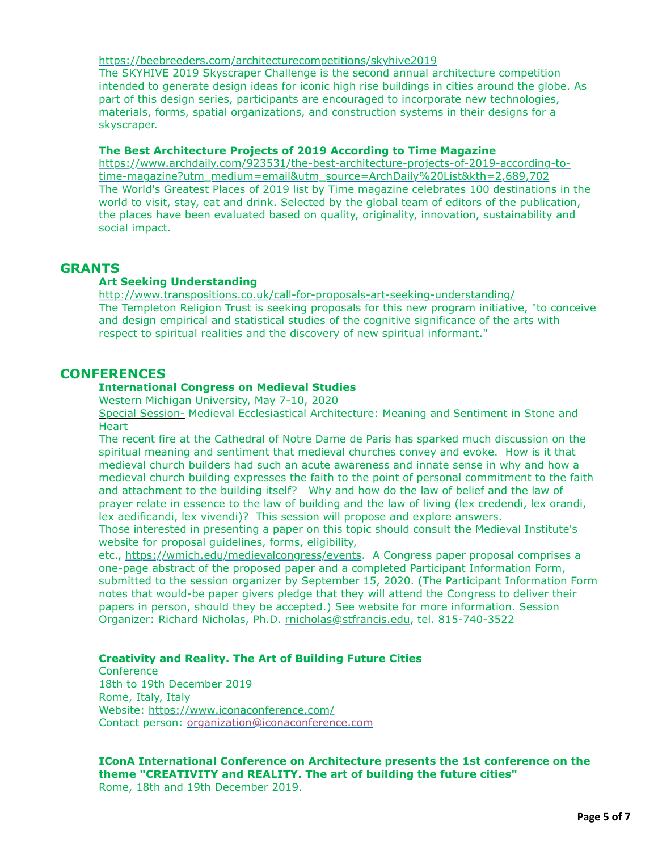<https://beebreeders.com/architecturecompetitions/skyhive2019>

The SKYHIVE 2019 Skyscraper Challenge is the second annual architecture competition intended to generate design ideas for iconic high rise buildings in cities around the globe. As part of this design series, participants are encouraged to incorporate new technologies, materials, forms, spatial organizations, and construction systems in their designs for a skyscraper.

### **The Best Architecture Projects of 2019 According to Time Magazine**

[https://www.archdaily.com/923531/the-best-architecture-projects-of-2019-according-to](https://www.archdaily.com/923531/the-best-architecture-projects-of-2019-according-to-time-magazine?utm_medium=email&utm_source=ArchDaily%20List&kth=2,689,702)time-magazine?utm\_medium=email&utm\_source=ArchDaily%20List&kth=2,689,702 The World's Greatest Places of 2019 list by Time magazine celebrates 100 destinations in the world to visit, stay, eat and drink. Selected by the global team of editors of the publication, the places have been evaluated based on quality, originality, innovation, sustainability and social impact.

# **GRANTS**

### **Art Seeking Understanding**

<http://www.transpositions.co.uk/call-for-proposals-art-seeking-understanding/> The Templeton Religion Trust is seeking proposals for this new program initiative, "to conceive and design empirical and statistical studies of the cognitive significance of the arts with respect to spiritual realities and the discovery of new spiritual informant."

# **CONFERENCES**

### **International Congress on Medieval Studies**

Western Michigan University, May 7-10, 2020

Special Session- Medieval Ecclesiastical Architecture: Meaning and Sentiment in Stone and **Heart** 

The recent fire at the Cathedral of Notre Dame de Paris has sparked much discussion on the spiritual meaning and sentiment that medieval churches convey and evoke. How is it that medieval church builders had such an acute awareness and innate sense in why and how a medieval church building expresses the faith to the point of personal commitment to the faith and attachment to the building itself? Why and how do the law of belief and the law of prayer relate in essence to the law of building and the law of living (lex credendi, lex orandi, lex aedificandi, lex vivendi)? This session will propose and explore answers.

Those interested in presenting a paper on this topic should consult the Medieval Institute's website for proposal guidelines, forms, eligibility,

etc., <https://wmich.edu/medievalcongress/events>. A Congress paper proposal comprises a one-page abstract of the proposed paper and a completed Participant Information Form, submitted to the session organizer by September 15, 2020. (The Participant Information Form notes that would-be paper givers pledge that they will attend the Congress to deliver their papers in person, should they be accepted.) See website for more information. Session Organizer: Richard Nicholas, Ph.D. [rnicholas@stfrancis.edu,](mailto:rnicholas@stfrancis.edu) tel. 815-740-3522

### **Creativity and Reality. The Art of Building Future Cities**

**Conference** 18th to 19th December 2019 Rome, Italy, Italy Website:<https://www.iconaconference.com/> Contact person: [organization@iconaconference.com](mailto:organization@iconaconference.com)

**IConA International Conference on Architecture presents the 1st conference on the theme "CREATIVITY and REALITY. The art of building the future cities"** Rome, 18th and 19th December 2019.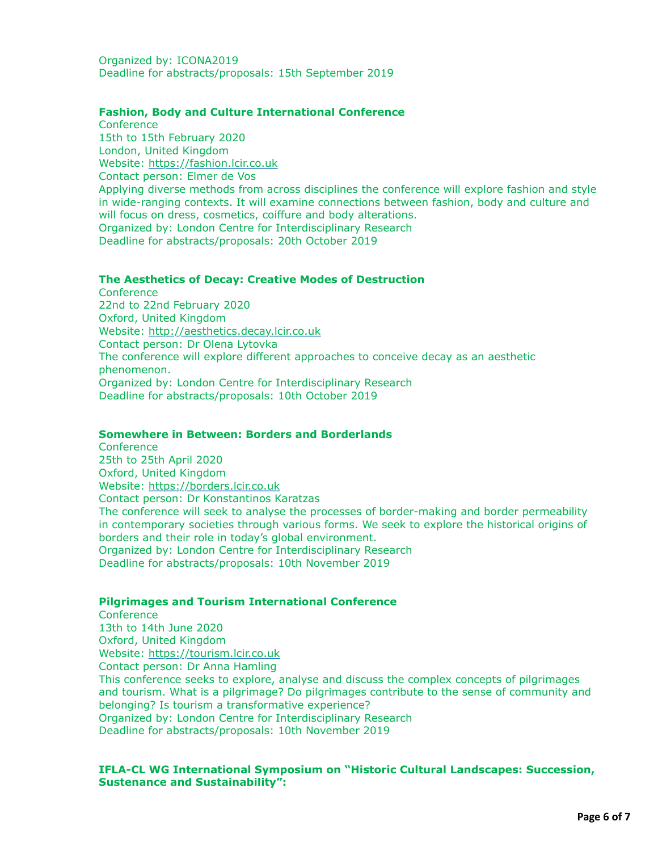Organized by: ICONA2019 Deadline for abstracts/proposals: 15th September 2019

### **Fashion, Body and Culture International Conference**

**Conference** 15th to 15th February 2020 London, United Kingdom Website: [https://fashion.lcir.co.uk](https://fashion.lcir.co.uk/) Contact person: Elmer de Vos Applying diverse methods from across disciplines the conference will explore fashion and style in wide-ranging contexts. It will examine connections between fashion, body and culture and will focus on dress, cosmetics, coiffure and body alterations. Organized by: London Centre for Interdisciplinary Research Deadline for abstracts/proposals: 20th October 2019

### **The Aesthetics of Decay: Creative Modes of Destruction**

**Conference** 22nd to 22nd February 2020 Oxford, United Kingdom Website: [http://aesthetics.decay.lcir.co.uk](http://aesthetics.decay.lcir.co.uk/) Contact person: Dr Olena Lytovka The conference will explore different approaches to conceive decay as an aesthetic phenomenon. Organized by: London Centre for Interdisciplinary Research Deadline for abstracts/proposals: 10th October 2019

### **Somewhere in Between: Borders and Borderlands**

**Conference** 25th to 25th April 2020 Oxford, United Kingdom Website: [https://borders.lcir.co.uk](https://borders.lcir.co.uk/) Contact person: Dr Konstantinos Karatzas The conference will seek to analyse the processes of border-making and border permeability in contemporary societies through various forms. We seek to explore the historical origins of borders and their role in today's global environment. Organized by: London Centre for Interdisciplinary Research Deadline for abstracts/proposals: 10th November 2019

### **Pilgrimages and Tourism International Conference**

**Conference** 13th to 14th June 2020 Oxford, United Kingdom Website: [https://tourism.lcir.co.uk](https://tourism.lcir.co.uk/) Contact person: Dr Anna Hamling This conference seeks to explore, analyse and discuss the complex concepts of pilgrimages and tourism. What is a pilgrimage? Do pilgrimages contribute to the sense of community and belonging? Is tourism a transformative experience? Organized by: London Centre for Interdisciplinary Research Deadline for abstracts/proposals: 10th November 2019

### **IFLA-CL WG International Symposium on "Historic Cultural Landscapes: Succession, Sustenance and Sustainability":**